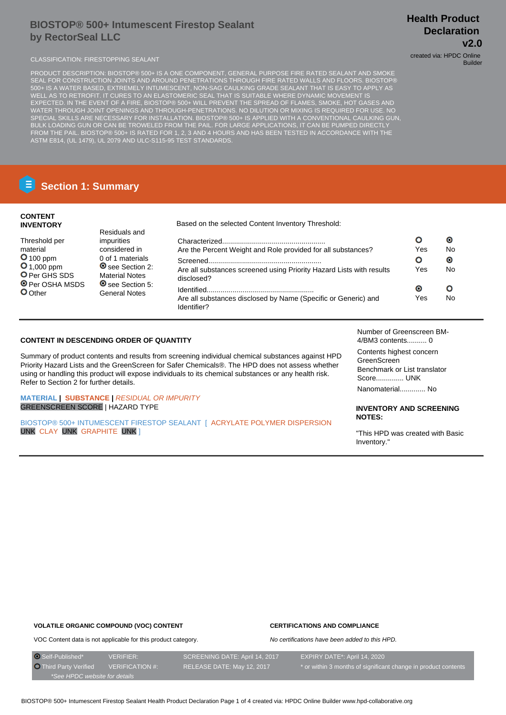# **BIOSTOP® 500+ Intumescent Firestop Sealant by RectorSeal LLC**

# **Health Product Declaration v2.0**

Builder

CLASSIFICATION: FIRESTOPPING SEALANT CLASSIFICATION: FIRESTOPPING SEALANT

PRODUCT DESCRIPTION: BIOSTOP® 500+ IS A ONE COMPONENT, GENERAL PURPOSE FIRE RATED SEALANT AND SMOKE SEAL FOR CONSTRUCTION JOINTS AND AROUND PENETRATIONS THROUGH FIRE RATED WALLS AND FLOORS. BIOSTOP® 500+ IS A WATER BASED, EXTREMELY INTUMESCENT, NON-SAG CAULKING GRADE SEALANT THAT IS EASY TO APPLY AS WELL AS TO RETROFIT. IT CURES TO AN ELASTOMERIC SEAL THAT IS SUITABLE WHERE DYNAMIC MOVEMENT IS EXPECTED. IN THE EVENT OF A FIRE, BIOSTOP® 500+ WILL PREVENT THE SPREAD OF FLAMES, SMOKE, HOT GASES AND WATER THROUGH JOINT OPENINGS AND THROUGH-PENETRATIONS. NO DILUTION OR MIXING IS REQUIRED FOR USE. NO SPECIAL SKILLS ARE NECESSARY FOR INSTALLATION. BIOSTOP® 500+ IS APPLIED WITH A CONVENTIONAL CAULKING GUN, BULK LOADING GUN OR CAN BE TROWELED FROM THE PAIL. FOR LARGE APPLICATIONS, IT CAN BE PUMPED DIRECTLY FROM THE PAIL. BIOSTOP® 500+ IS RATED FOR 1, 2, 3 AND 4 HOURS AND HAS BEEN TESTED IN ACCORDANCE WITH THE ASTM E814, (UL 1479), UL 2079 AND ULC-S115-95 TEST STANDARDS.

# **Section 1: Summary**

### **CONTENT INVENTORY**

| <b>INVENTORY</b>                                                  |                                                                    | Based on the selected Content inventory Threshold.                                 |           |           |
|-------------------------------------------------------------------|--------------------------------------------------------------------|------------------------------------------------------------------------------------|-----------|-----------|
| Threshold per                                                     | Residuals and<br><i>impurities</i>                                 |                                                                                    |           | О         |
| material                                                          | considered in                                                      | Are the Percent Weight and Role provided for all substances?                       | Yes       | No        |
| $O$ 100 ppm                                                       | 0 of 1 materials                                                   |                                                                                    |           | $\bullet$ |
| $O_{1,000}$ ppm<br><b>O</b> Per GHS SDS<br><b>O</b> Per OSHA MSDS | <b>O</b> see Section 2:<br><b>Material Notes</b><br>See Section 5: | Are all substances screened using Priority Hazard Lists with results<br>disclosed? | Yes       | No        |
| <b>O</b> Other                                                    |                                                                    |                                                                                    | $\bullet$ |           |
|                                                                   | General Notes                                                      | Are all substances disclosed by Name (Specific or Generic) and<br>Identifier?      | Yes       | No        |

Based on the selected Content Inventory Threshold:

### **CONTENT IN DESCENDING ORDER OF QUANTITY**

Summary of product contents and results from screening individual chemical substances against HPD Priority Hazard Lists and the GreenScreen for Safer Chemicals®. The HPD does not assess whether using or handling this product will expose individuals to its chemical substances or any health risk. Refer to Section 2 for further details.

#### **MATERIAL | SUBSTANCE |** RESIDUAL OR IMPURITY GREENSCREEN SCORE | HAZARD TYPE

BIOSTOP® 500+ INTUMESCENT FIRESTOP SEALANT [ ACRYLATE POLYMER DISPERSION UNK CLAY UNK GRAPHITE UNK ]

Number of Greenscreen BM-4/BM3 contents.......... 0

Contents highest concern GreenScreen Benchmark or List translator Score.............. UNK Nanomaterial............. No

#### **INVENTORY AND SCREENING NOTES:**

"This HPD was created with Basic Inventory."

### **VOLATILE ORGANIC COMPOUND (VOC) CONTENT**

#### **CERTIFICATIONS AND COMPLIANCE**

No certifications have been added to this HPD.

VOC Content data is not applicable for this product category.

O Self-Published\* VERIFIER: SCREENING DATE: April 14, 2017 EXPIRY DATE\*: April 14, 2020 O Third Party Verified VERIFICATION #: RELEASE DATE: May 12, 2017 \* or within 3 months of significant change in product contents \*See HPDC website for details

BIOSTOP® 500+ Intumescent Firestop Sealant Health Product Declaration Page 1 of 4 created via: HPDC Online Builder www.hpd-collaborative.org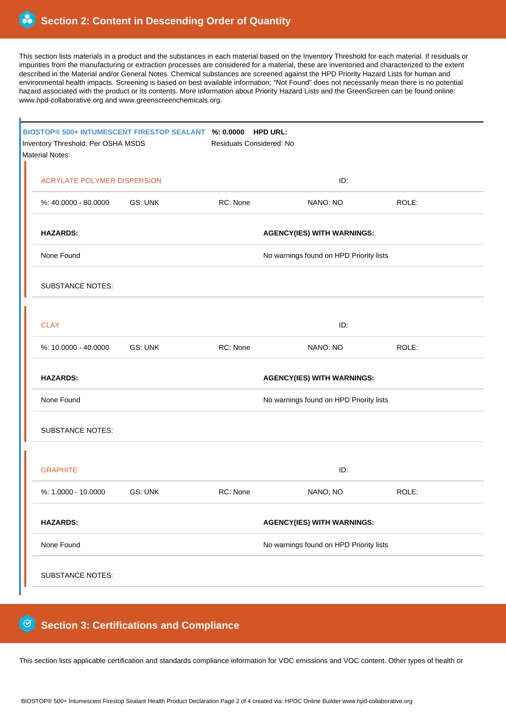This section lists materials in a product and the substances in each material based on the Inventory Threshold for each material. If residuals or impurities from the manufacturing or extraction processes are considered for a material, these are inventoried and characterized to the extent described in the Material and/or General Notes. Chemical substances are screened against the HPD Priority Hazard Lists for human and environmental health impacts. Screening is based on best available information; "Not Found" does not necessarily mean there is no potential hazard associated with the product or its contents. More information about Priority Hazard Lists and the GreenScreen can be found online: www.hpd-collaborative.org and www.greenscreenchemicals.org.

| BIOSTOP® 500+ INTUMESCENT FIRESTOP SEALANT %: 0.0000<br>Inventory Threshold: Per OSHA MSDS<br>Material Notes: |                                         | <b>HPD URL:</b><br>Residuals Considered: No |          |       |  |  |  |
|---------------------------------------------------------------------------------------------------------------|-----------------------------------------|---------------------------------------------|----------|-------|--|--|--|
| <b>ACRYLATE POLYMER DISPERSION</b>                                                                            |                                         | ID:                                         |          |       |  |  |  |
| %: 40.0000 - 80.0000                                                                                          | GS: UNK                                 | RC: None                                    | NANO: NO | ROLE: |  |  |  |
| <b>HAZARDS:</b><br><b>AGENCY(IES) WITH WARNINGS:</b>                                                          |                                         |                                             |          |       |  |  |  |
| None Found                                                                                                    |                                         | No warnings found on HPD Priority lists     |          |       |  |  |  |
| <b>SUBSTANCE NOTES:</b>                                                                                       |                                         |                                             |          |       |  |  |  |
| <b>CLAY</b><br>ID:                                                                                            |                                         |                                             |          |       |  |  |  |
| %: 10.0000 - 40.0000                                                                                          | <b>GS: UNK</b>                          | RC: None                                    | NANO: NO | ROLE: |  |  |  |
| <b>HAZARDS:</b>                                                                                               | <b>AGENCY(IES) WITH WARNINGS:</b>       |                                             |          |       |  |  |  |
| None Found                                                                                                    | No warnings found on HPD Priority lists |                                             |          |       |  |  |  |
| <b>SUBSTANCE NOTES:</b>                                                                                       |                                         |                                             |          |       |  |  |  |
| <b>GRAPHITE</b><br>ID:                                                                                        |                                         |                                             |          |       |  |  |  |
| %: 1.0000 - 10.0000                                                                                           | GS: UNK                                 | RC: None                                    | NANO: NO | ROLE: |  |  |  |
| <b>HAZARDS:</b><br><b>AGENCY(IES) WITH WARNINGS:</b>                                                          |                                         |                                             |          |       |  |  |  |
| None Found<br>No warnings found on HPD Priority lists                                                         |                                         |                                             |          |       |  |  |  |
| <b>SUBSTANCE NOTES:</b>                                                                                       |                                         |                                             |          |       |  |  |  |

#### 0  **Section 3: Certifications and Compliance**

This section lists applicable certification and standards compliance information for VOC emissions and VOC content. Other types of health or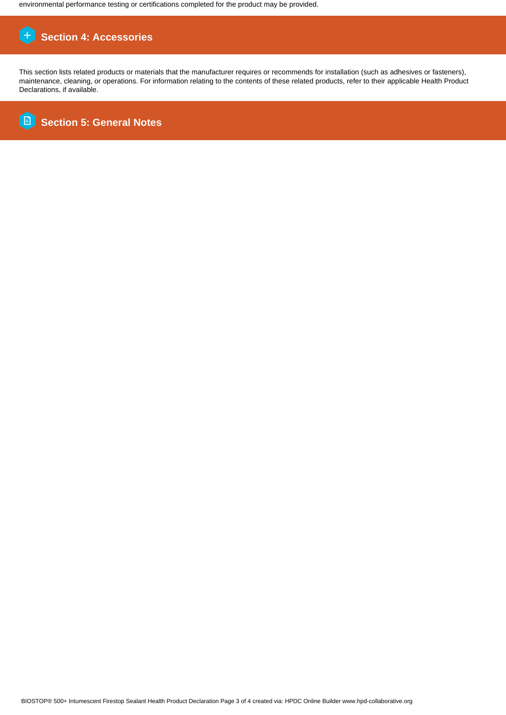environmental performance testing or certifications completed for the product may be provided.

# **Section 4: Accessories**

This section lists related products or materials that the manufacturer requires or recommends for installation (such as adhesives or fasteners), maintenance, cleaning, or operations. For information relating to the contents of these related products, refer to their applicable Health Product Declarations, if available.

E  **Section 5: General Notes**